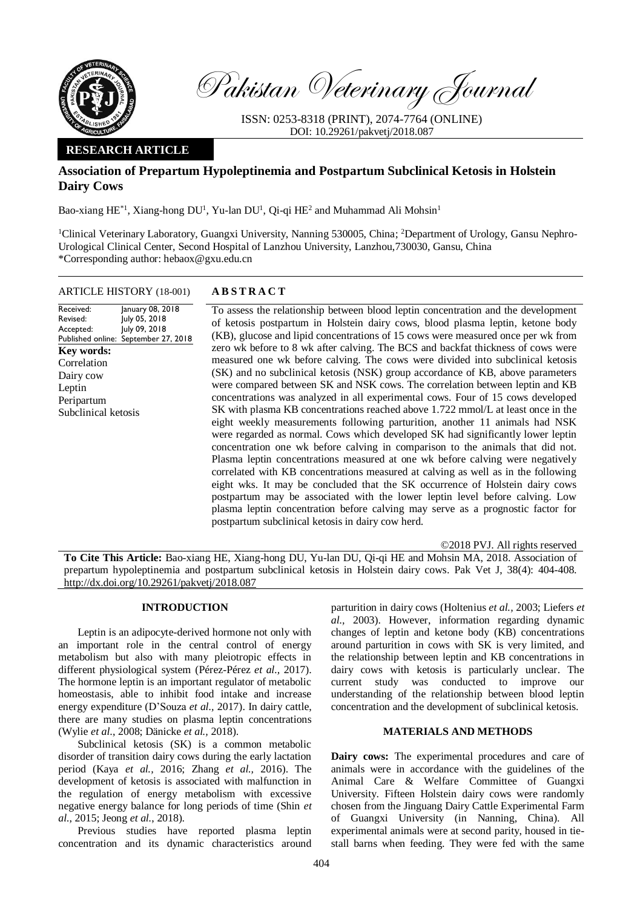

Pakistan Veterinary Journal

ISSN: 0253-8318 (PRINT), 2074-7764 (ONLINE) DOI: 10.29261/pakvetj/2018.087

# **RESEARCH ARTICLE**

# **Association of Prepartum Hypoleptinemia and Postpartum Subclinical Ketosis in Holstein Dairy Cows**

Bao-xiang  $HE^{*1}$ , Xiang-hong DU<sup>1</sup>, Yu-lan DU<sup>1</sup>, Qi-qi HE<sup>2</sup> and Muhammad Ali Mohsin<sup>1</sup>

<sup>1</sup>Clinical Veterinary Laboratory, Guangxi University, Nanning 530005, China; <sup>2</sup>Department of Urology, Gansu Nephro-Urological Clinical Center, Second Hospital of Lanzhou University, Lanzhou,730030, Gansu, China \*Corresponding author: hebaox@gxu.edu.cn

## ARTICLE HISTORY (18-001) **A B S T R A C T**

Received: Revised: Accepted: Published online: January 08, 2018 July 05, 2018 July 09, 2018 September 27, 2018 **Key words:**  Correlation Dairy cow Leptin Peripartum Subclinical ketosis

To assess the relationship between blood leptin concentration and the development of ketosis postpartum in Holstein dairy cows, blood plasma leptin, ketone body (KB), glucose and lipid concentrations of 15 cows were measured once per wk from zero wk before to 8 wk after calving. The BCS and backfat thickness of cows were measured one wk before calving. The cows were divided into subclinical ketosis (SK) and no subclinical ketosis (NSK) group accordance of KB, above parameters were compared between SK and NSK cows. The correlation between leptin and KB concentrations was analyzed in all experimental cows. Four of 15 cows developed SK with plasma KB concentrations reached above 1.722 mmol/L at least once in the eight weekly measurements following parturition, another 11 animals had NSK were regarded as normal. Cows which developed SK had significantly lower leptin concentration one wk before calving in comparison to the animals that did not. Plasma leptin concentrations measured at one wk before calving were negatively correlated with KB concentrations measured at calving as well as in the following eight wks. It may be concluded that the SK occurrence of Holstein dairy cows postpartum may be associated with the lower leptin level before calving. Low plasma leptin concentration before calving may serve as a prognostic factor for postpartum subclinical ketosis in dairy cow herd.

©2018 PVJ. All rights reserved

**To Cite This Article:** Bao-xiang HE, Xiang-hong DU, Yu-lan DU, Qi-qi HE and Mohsin MA, 2018. Association of prepartum hypoleptinemia and postpartum subclinical ketosis in Holstein dairy cows. Pak Vet J, 38(4): 404-408. [http://dx.doi.org/10.29261/pakvetj/2018.087](http://pvj.com.pk/pdf-files/38_4/404-408.pdf) 

## **INTRODUCTION**

Leptin is an adipocyte-derived hormone not only with an important role in the central control of energy metabolism but also with many pleiotropic effects in different physiological system (Pérez-Pérez *et al.,* 2017). The hormone leptin is an important regulator of metabolic homeostasis, able to inhibit food intake and increase energy expenditure (D'Souza *et al.,* 2017). In dairy cattle, there are many studies on plasma leptin concentrations (Wylie *et al*., 2008; Dänicke *et al.,* 2018).

Subclinical ketosis (SK) is a common metabolic disorder of transition dairy cows during the early lactation period (Kaya *et al.,* 2016; Zhang *et al.,* 2016). The development of ketosis is associated with malfunction in the regulation of energy metabolism with excessive negative energy balance for long periods of time (Shin *et al.*, 2015; Jeong *et al.*, 2018).

Previous studies have reported plasma leptin concentration and its dynamic characteristics around parturition in dairy cows (Holtenius *et al.,* 2003; Liefers *et al.,* 2003). However, information regarding dynamic changes of leptin and ketone body (KB) concentrations around parturition in cows with SK is very limited, and the relationship between leptin and KB concentrations in dairy cows with ketosis is particularly unclear. The current study was conducted to improve our understanding of the relationship between blood leptin concentration and the development of subclinical ketosis.

## **MATERIALS AND METHODS**

**Dairy cows:** The experimental procedures and care of animals were in accordance with the guidelines of the Animal Care & Welfare Committee of Guangxi University. Fifteen Holstein dairy cows were randomly chosen from the Jinguang Dairy Cattle Experimental Farm of Guangxi University (in Nanning, China). All experimental animals were at second parity, housed in tiestall barns when feeding. They were fed with the same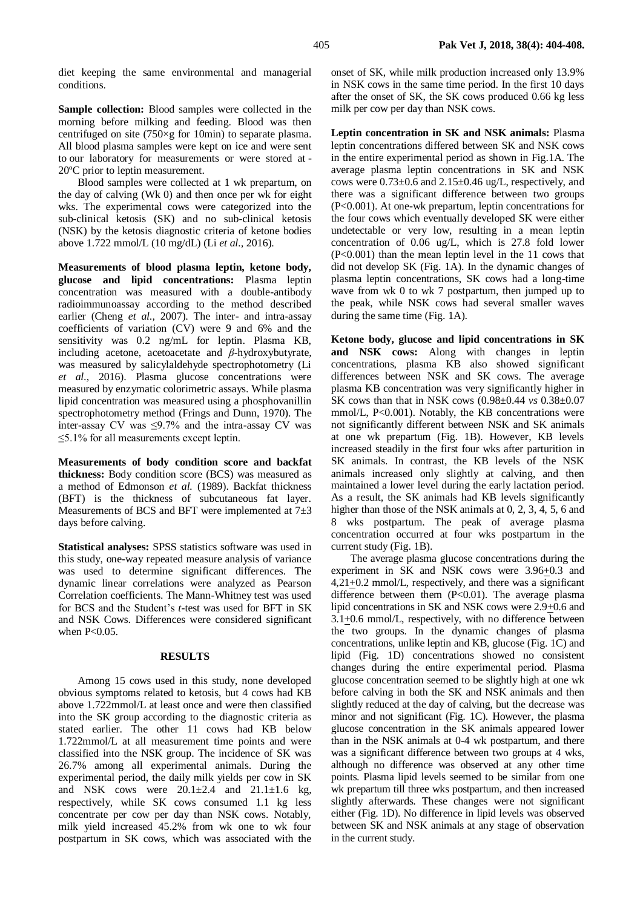diet keeping the same environmental and managerial conditions.

**Sample collection:** Blood samples were collected in the morning before milking and feeding. Blood was then centrifuged on site (750×g for 10min) to separate plasma. All blood plasma samples were kept on ice and were sent to our laboratory for measurements or were stored at - 20ºC prior to leptin measurement.

Blood samples were collected at 1 wk prepartum, on the day of calving (Wk 0) and then once per wk for eight wks. The experimental cows were categorized into the sub-clinical ketosis (SK) and no sub-clinical ketosis (NSK) by the ketosis diagnostic criteria of ketone bodies above 1.722 mmol/L (10 mg/dL) (Li *et al.,* 2016).

**Measurements of blood plasma leptin, ketone body, glucose and lipid concentrations:** Plasma leptin concentration was measured with a double-antibody radioimmunoassay according to the method described earlier (Cheng *et al.,* 2007). The inter- and intra-assay coefficients of variation (CV) were 9 and 6% and the sensitivity was 0.2 ng/mL for leptin. Plasma KB, including acetone, acetoacetate and *β*-hydroxybutyrate, was measured by salicylaldehyde spectrophotometry (Li *et al.,* 2016). Plasma glucose concentrations were measured by enzymatic colorimetric assays. While plasma lipid concentration was measured using a phosphovanillin spectrophotometry method (Frings and Dunn, 1970). The inter-assay CV was  $\leq 9.7\%$  and the intra-assay CV was ≤5.1% for all measurements except leptin.

**Measurements of body condition score and backfat thickness:** Body condition score (BCS) was measured as a method of Edmonson *et al.* (1989). Backfat thickness (BFT) is the thickness of subcutaneous fat layer. Measurements of BCS and BFT were implemented at  $7\pm3$ days before calving.

**Statistical analyses:** SPSS statistics software was used in this study, one-way repeated measure analysis of variance was used to determine significant differences. The dynamic linear correlations were analyzed as Pearson Correlation coefficients. The Mann-Whitney test was used for BCS and the Student's *t-*test was used for BFT in SK and NSK Cows. Differences were considered significant when P<0.05.

### **RESULTS**

Among 15 cows used in this study, none developed obvious symptoms related to ketosis, but 4 cows had KB above 1.722mmol/L at least once and were then classified into the SK group according to the diagnostic criteria as stated earlier. The other 11 cows had KB below 1.722mmol/L at all measurement time points and were classified into the NSK group. The incidence of SK was 26.7% among all experimental animals. During the experimental period, the daily milk yields per cow in SK and NSK cows were  $20.1 \pm 2.4$  and  $21.1 \pm 1.6$  kg, respectively, while SK cows consumed 1.1 kg less concentrate per cow per day than NSK cows. Notably, milk yield increased 45.2% from wk one to wk four postpartum in SK cows, which was associated with the onset of SK, while milk production increased only 13.9% in NSK cows in the same time period. In the first 10 days after the onset of SK, the SK cows produced 0.66 kg less milk per cow per day than NSK cows.

**Leptin concentration in SK and NSK animals:** Plasma leptin concentrations differed between SK and NSK cows in the entire experimental period as shown in Fig.1A. The average plasma leptin concentrations in SK and NSK cows were 0.73±0.6 and 2.15±0.46 ug/L, respectively, and there was a significant difference between two groups (P<0.001). At one-wk prepartum, leptin concentrations for the four cows which eventually developed SK were either undetectable or very low, resulting in a mean leptin concentration of 0.06 ug/L, which is 27.8 fold lower (P<0.001) than the mean leptin level in the 11 cows that did not develop SK (Fig. 1A). In the dynamic changes of plasma leptin concentrations, SK cows had a long-time wave from wk 0 to wk 7 postpartum, then jumped up to the peak, while NSK cows had several smaller waves during the same time (Fig. 1A).

**Ketone body, glucose and lipid concentrations in SK and NSK cows:** Along with changes in leptin concentrations, plasma KB also showed significant differences between NSK and SK cows. The average plasma KB concentration was very significantly higher in SK cows than that in NSK cows (0.98±0.44 *vs* 0.38±0.07 mmol/L, P<0.001). Notably, the KB concentrations were not significantly different between NSK and SK animals at one wk prepartum (Fig. 1B). However, KB levels increased steadily in the first four wks after parturition in SK animals. In contrast, the KB levels of the NSK animals increased only slightly at calving, and then maintained a lower level during the early lactation period. As a result, the SK animals had KB levels significantly higher than those of the NSK animals at 0, 2, 3, 4, 5, 6 and 8 wks postpartum. The peak of average plasma concentration occurred at four wks postpartum in the current study (Fig. 1B).

The average plasma glucose concentrations during the experiment in SK and NSK cows were  $3.96\pm0.3$  and 4,21+0.2 mmol/L, respectively, and there was a significant difference between them  $(P<0.01)$ . The average plasma lipid concentrations in SK and NSK cows were 2.9+0.6 and  $3.1 \pm 0.6$  mmol/L, respectively, with no difference between the two groups. In the dynamic changes of plasma concentrations, unlike leptin and KB, glucose (Fig. 1C) and lipid (Fig. 1D) concentrations showed no consistent changes during the entire experimental period. Plasma glucose concentration seemed to be slightly high at one wk before calving in both the SK and NSK animals and then slightly reduced at the day of calving, but the decrease was minor and not significant (Fig. 1C). However, the plasma glucose concentration in the SK animals appeared lower than in the NSK animals at 0-4 wk postpartum, and there was a significant difference between two groups at 4 wks, although no difference was observed at any other time points. Plasma lipid levels seemed to be similar from one wk prepartum till three wks postpartum, and then increased slightly afterwards. These changes were not significant either (Fig. 1D). No difference in lipid levels was observed between SK and NSK animals at any stage of observation in the current study.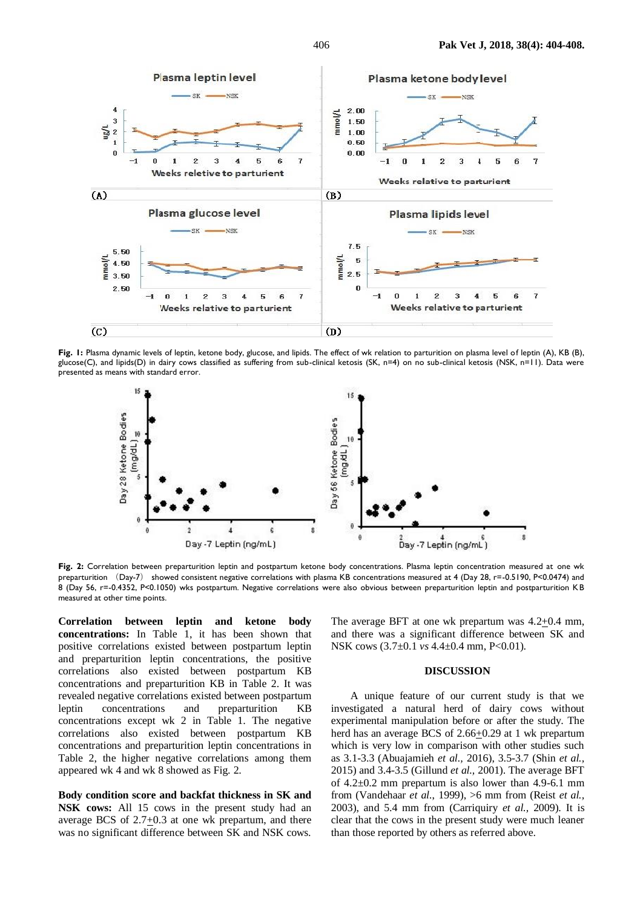

**Fig. 1:** Plasma dynamic levels of leptin, ketone body, glucose, and lipids. The effect of wk relation to parturition on plasma level of leptin (A), KB (B), glucose(C), and lipids(D) in dairy cows classified as suffering from sub-clinical ketosis (SK, n=4) on no sub-clinical ketosis (NSK, n=11). Data were presented as means with standard error.



**Fig. 2:** Correlation between preparturition leptin and postpartum ketone body concentrations. Plasma leptin concentration measured at one wk preparturition (Day-7) showed consistent negative correlations with plasma KB concentrations measured at 4 (Day 28, r=-0.5190, P<0.0474) and 8 (Day 56, r=-0.4352, P<0.1050) wks postpartum. Negative correlations were also obvious between preparturition leptin and postparturition KB measured at other time points.

**Correlation between leptin and ketone body concentrations:** In Table 1, it has been shown that positive correlations existed between postpartum leptin and preparturition leptin concentrations, the positive correlations also existed between postpartum KB concentrations and preparturition KB in Table 2. It was revealed negative correlations existed between postpartum leptin concentrations and preparturition KB concentrations except wk 2 in Table 1. The negative correlations also existed between postpartum KB concentrations and preparturition leptin concentrations in Table 2, the higher negative correlations among them appeared wk 4 and wk 8 showed as Fig. 2.

**Body condition score and backfat thickness in SK and NSK cows:** All 15 cows in the present study had an average BCS of 2.7+0.3 at one wk prepartum, and there was no significant difference between SK and NSK cows.

The average BFT at one wk prepartum was 4.2+0.4 mm, and there was a significant difference between SK and NSK cows (3.7±0.1 *vs* 4.4±0.4 mm, P<0.01).

#### **DISCUSSION**

A unique feature of our current study is that we investigated a natural herd of dairy cows without experimental manipulation before or after the study. The herd has an average BCS of 2.66+0.29 at 1 wk prepartum which is very low in comparison with other studies such as 3.1-3.3 (Abuajamieh *et al.,* 2016), 3.5-3.7 (Shin *et al.,* 2015) and 3.4-3.5 (Gillund *et al.,* 2001). The average BFT of 4.2±0.2 mm prepartum is also lower than 4.9-6.1 mm from (Vandehaar *et al.*, 1999), >6 mm from (Reist *et al.,* 2003), and 5.4 mm from (Carriquiry *et al.,* 2009). It is clear that the cows in the present study were much leaner than those reported by others as referred above.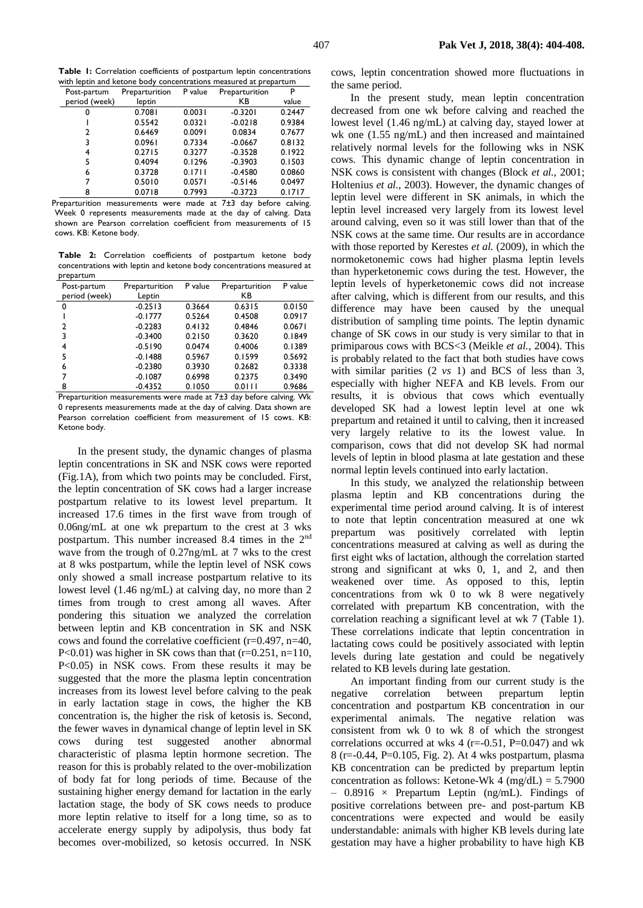**Table 1:** Correlation coefficients of postpartum leptin concentrations with leptin and ketone body concentrations measured at prepartum

| Post-partum   | Preparturition | P value | Preparturition | P      |
|---------------|----------------|---------|----------------|--------|
| period (week) | leptin         |         | КB             | value  |
| 0             | 0.7081         | 0.0031  | $-0.3201$      | 0.2447 |
|               | 0.5542         | 0.0321  | $-0.0218$      | 0.9384 |
| 2             | 0.6469         | 0.0091  | 0.0834         | 0.7677 |
| 3             | 0.0961         | 0.7334  | $-0.0667$      | 0.8132 |
| 4             | 0.2715         | 0.3277  | $-0.3528$      | 0.1922 |
| 5             | 0.4094         | 0.1296  | $-0.3903$      | 0.1503 |
| 6             | 0.3728         | 0.1711  | $-0.4580$      | 0.0860 |
|               | 0.5010         | 0.0571  | $-0.5146$      | 0.0497 |
| 8             | 0.0718         | 0.7993  | $-0.3723$      | 0.1717 |

Preparturition measurements were made at 7±3 day before calving. Week 0 represents measurements made at the day of calving. Data shown are Pearson correlation coefficient from measurements of 15 cows. KB: Ketone body.

**Table 2:** Correlation coefficients of postpartum ketone body concentrations with leptin and ketone body concentrations measured at prepartum

| Post-partum   | Preparturition | P value | Preparturition | P value |
|---------------|----------------|---------|----------------|---------|
| period (week) | Leptin         |         | КB             |         |
| 0             | $-0.2513$      | 0.3664  | 0.6315         | 0.0150  |
|               | $-0.1777$      | 0.5264  | 0.4508         | 0.0917  |
| 2             | $-0.2283$      | 0.4132  | 0.4846         | 0.0671  |
| 3             | $-0.3400$      | 0.2150  | 0.3620         | 0.1849  |
| 4             | $-0.5190$      | 0.0474  | 0.4006         | 0.1389  |
| 5             | $-0.1488$      | 0.5967  | 0.1599         | 0.5692  |
| 6             | $-0.2380$      | 0.3930  | 0.2682         | 0.3338  |
| 7             | $-0.1087$      | 0.6998  | 0.2375         | 0.3490  |
| 8             | $-0.4352$      | 0.1050  | 0.0111         | 0.9686  |
|               |                |         |                |         |

Preparturition measurements were made at 7±3 day before calving. Wk 0 represents measurements made at the day of calving. Data shown are Pearson correlation coefficient from measurement of 15 cows. KB: Ketone body.

In the present study, the dynamic changes of plasma leptin concentrations in SK and NSK cows were reported (Fig.1A), from which two points may be concluded. First, the leptin concentration of SK cows had a larger increase postpartum relative to its lowest level prepartum. It increased 17.6 times in the first wave from trough of 0.06ng/mL at one wk prepartum to the crest at 3 wks postpartum. This number increased 8.4 times in the 2nd wave from the trough of 0.27ng/mL at 7 wks to the crest at 8 wks postpartum, while the leptin level of NSK cows only showed a small increase postpartum relative to its lowest level (1.46 ng/mL) at calving day, no more than 2 times from trough to crest among all waves. After pondering this situation we analyzed the correlation between leptin and KB concentration in SK and NSK cows and found the correlative coefficient (r=0.497, n=40, P<0.01) was higher in SK cows than that  $(r=0.251, n=110,$ P<0.05) in NSK cows. From these results it may be suggested that the more the plasma leptin concentration increases from its lowest level before calving to the peak in early lactation stage in cows, the higher the KB concentration is, the higher the risk of ketosis is. Second, the fewer waves in dynamical change of leptin level in SK cows during test suggested another abnormal characteristic of plasma leptin hormone secretion. The reason for this is probably related to the over-mobilization of body fat for long periods of time. Because of the sustaining higher energy demand for lactation in the early lactation stage, the body of SK cows needs to produce more leptin relative to itself for a long time, so as to accelerate energy supply by adipolysis, thus body fat becomes over-mobilized, so ketosis occurred. In NSK

407 **Pak Vet J, 2018, 38(4): 404-408.**

cows, leptin concentration showed more fluctuations in the same period.

In the present study, mean leptin concentration decreased from one wk before calving and reached the lowest level (1.46 ng/mL) at calving day, stayed lower at wk one (1.55 ng/mL) and then increased and maintained relatively normal levels for the following wks in NSK cows. This dynamic change of leptin concentration in NSK cows is consistent with changes (Block *et al.,* 2001; Holtenius *et al.,* 2003). However, the dynamic changes of leptin level were different in SK animals, in which the leptin level increased very largely from its lowest level around calving, even so it was still lower than that of the NSK cows at the same time. Our results are in accordance with those reported by Kerestes *et al.* (2009), in which the normoketonemic cows had higher plasma leptin levels than hyperketonemic cows during the test. However, the leptin levels of hyperketonemic cows did not increase after calving, which is different from our results, and this difference may have been caused by the unequal distribution of sampling time points. The leptin dynamic change of SK cows in our study is very similar to that in primiparous cows with BCS<3 (Meikle *et al.,* 2004). This is probably related to the fact that both studies have cows with similar parities (2 *vs* 1) and BCS of less than 3, especially with higher NEFA and KB levels. From our results, it is obvious that cows which eventually developed SK had a lowest leptin level at one wk prepartum and retained it until to calving, then it increased very largely relative to its the lowest value. In comparison, cows that did not develop SK had normal levels of leptin in blood plasma at late gestation and these normal leptin levels continued into early lactation.

In this study, we analyzed the relationship between plasma leptin and KB concentrations during the experimental time period around calving. It is of interest to note that leptin concentration measured at one wk prepartum was positively correlated with leptin concentrations measured at calving as well as during the first eight wks of lactation, although the correlation started strong and significant at wks 0, 1, and 2, and then weakened over time. As opposed to this, leptin concentrations from wk 0 to wk 8 were negatively correlated with prepartum KB concentration, with the correlation reaching a significant level at wk 7 (Table 1). These correlations indicate that leptin concentration in lactating cows could be positively associated with leptin levels during late gestation and could be negatively related to KB levels during late gestation.

An important finding from our current study is the negative correlation between prepartum leptin concentration and postpartum KB concentration in our experimental animals. The negative relation was consistent from wk 0 to wk 8 of which the strongest correlations occurred at wks 4 ( $r = -0.51$ ,  $P = 0.047$ ) and wk 8 (r=-0.44, P=0.105, Fig. 2). At 4 wks postpartum, plasma KB concentration can be predicted by prepartum leptin concentration as follows: Ketone-Wk 4 (mg/dL) =  $5.7900$  $-$  0.8916  $\times$  Prepartum Leptin (ng/mL). Findings of positive correlations between pre- and post-partum KB concentrations were expected and would be easily understandable: animals with higher KB levels during late gestation may have a higher probability to have high KB